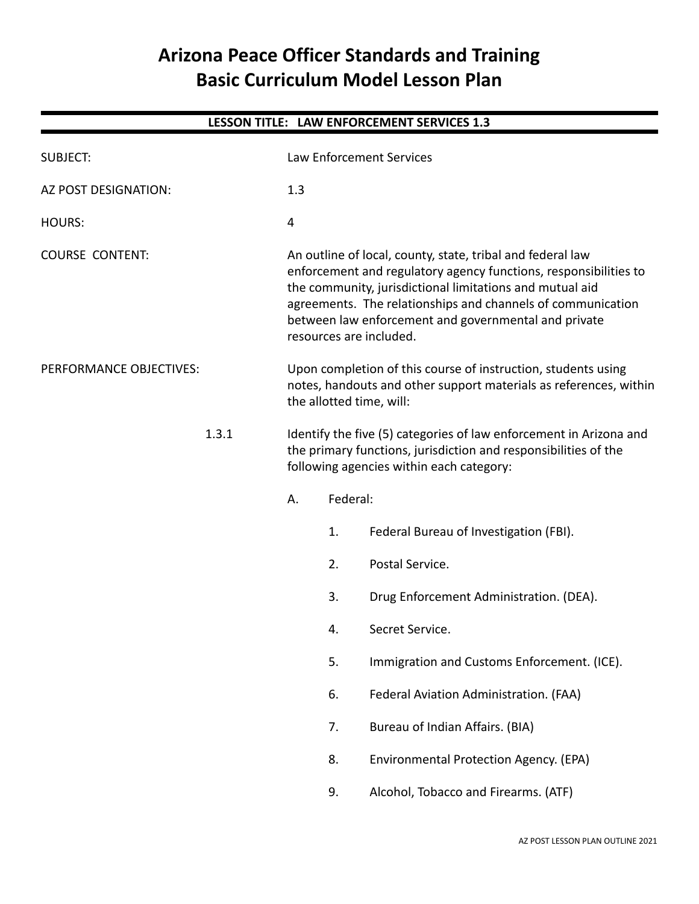# **Arizona Peace Officer Standards and Training Basic Curriculum Model Lesson Plan**

| LESSON TITLE: LAW ENFORCEMENT SERVICES 1.3 |       |                                                                                                                                                                                                                                                                                                                                              |    |                                             |
|--------------------------------------------|-------|----------------------------------------------------------------------------------------------------------------------------------------------------------------------------------------------------------------------------------------------------------------------------------------------------------------------------------------------|----|---------------------------------------------|
| <b>SUBJECT:</b>                            |       | Law Enforcement Services                                                                                                                                                                                                                                                                                                                     |    |                                             |
| AZ POST DESIGNATION:                       |       | 1.3                                                                                                                                                                                                                                                                                                                                          |    |                                             |
| <b>HOURS:</b>                              |       | 4                                                                                                                                                                                                                                                                                                                                            |    |                                             |
| <b>COURSE CONTENT:</b>                     |       | An outline of local, county, state, tribal and federal law<br>enforcement and regulatory agency functions, responsibilities to<br>the community, jurisdictional limitations and mutual aid<br>agreements. The relationships and channels of communication<br>between law enforcement and governmental and private<br>resources are included. |    |                                             |
| PERFORMANCE OBJECTIVES:                    |       | Upon completion of this course of instruction, students using<br>notes, handouts and other support materials as references, within<br>the allotted time, will:                                                                                                                                                                               |    |                                             |
|                                            | 1.3.1 | Identify the five (5) categories of law enforcement in Arizona and<br>the primary functions, jurisdiction and responsibilities of the<br>following agencies within each category:                                                                                                                                                            |    |                                             |
|                                            |       | Federal:<br>А.                                                                                                                                                                                                                                                                                                                               |    |                                             |
|                                            |       |                                                                                                                                                                                                                                                                                                                                              | 1. | Federal Bureau of Investigation (FBI).      |
|                                            |       |                                                                                                                                                                                                                                                                                                                                              | 2. | Postal Service.                             |
|                                            |       |                                                                                                                                                                                                                                                                                                                                              | 3. | Drug Enforcement Administration. (DEA).     |
|                                            |       |                                                                                                                                                                                                                                                                                                                                              | 4. | Secret Service.                             |
|                                            |       |                                                                                                                                                                                                                                                                                                                                              | 5. | Immigration and Customs Enforcement. (ICE). |
|                                            |       |                                                                                                                                                                                                                                                                                                                                              | 6. | Federal Aviation Administration. (FAA)      |
|                                            |       |                                                                                                                                                                                                                                                                                                                                              | 7. | Bureau of Indian Affairs. (BIA)             |
|                                            |       |                                                                                                                                                                                                                                                                                                                                              | 8. | Environmental Protection Agency. (EPA)      |
|                                            |       |                                                                                                                                                                                                                                                                                                                                              | 9. | Alcohol, Tobacco and Firearms. (ATF)        |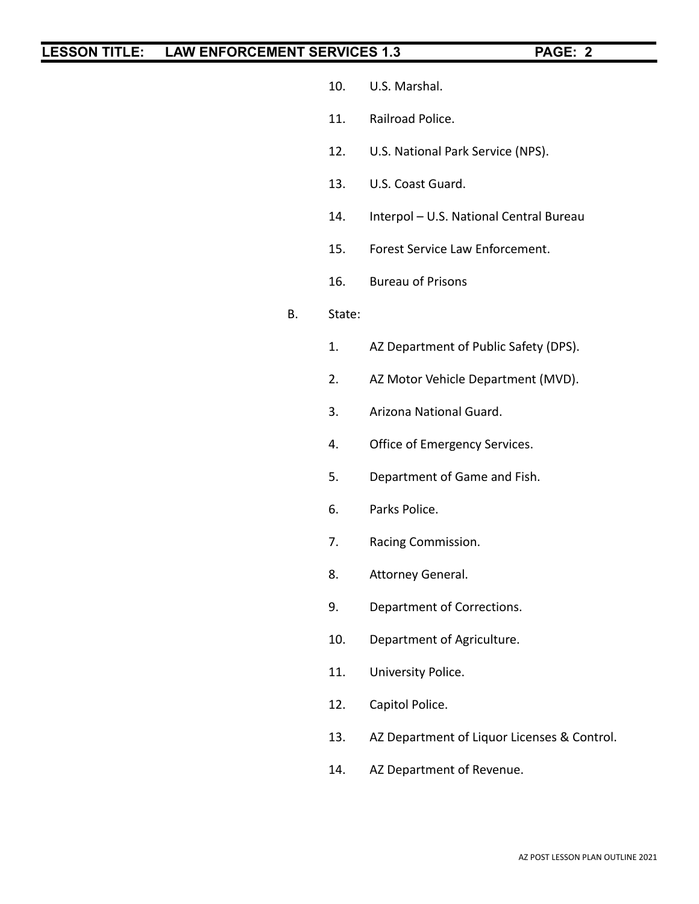- 10. U.S. Marshal.
- 11. Railroad Police.
- 12. U.S. National Park Service (NPS).
- 13. U.S. Coast Guard.
- 14. Interpol U.S. National Central Bureau
- 15. Forest Service Law Enforcement.
- 16. Bureau of Prisons

### B. State:

- 1. AZ Department of Public Safety (DPS).
- 2. AZ Motor Vehicle Department (MVD).
- 3. Arizona National Guard.
- 4. Office of Emergency Services.
- 5. Department of Game and Fish.
- 6. Parks Police.
- 7. Racing Commission.
- 8. Attorney General.
- 9. Department of Corrections.
- 10. Department of Agriculture.
- 11. University Police.
- 12. Capitol Police.
- 13. AZ Department of Liquor Licenses & Control.
- 14. AZ Department of Revenue.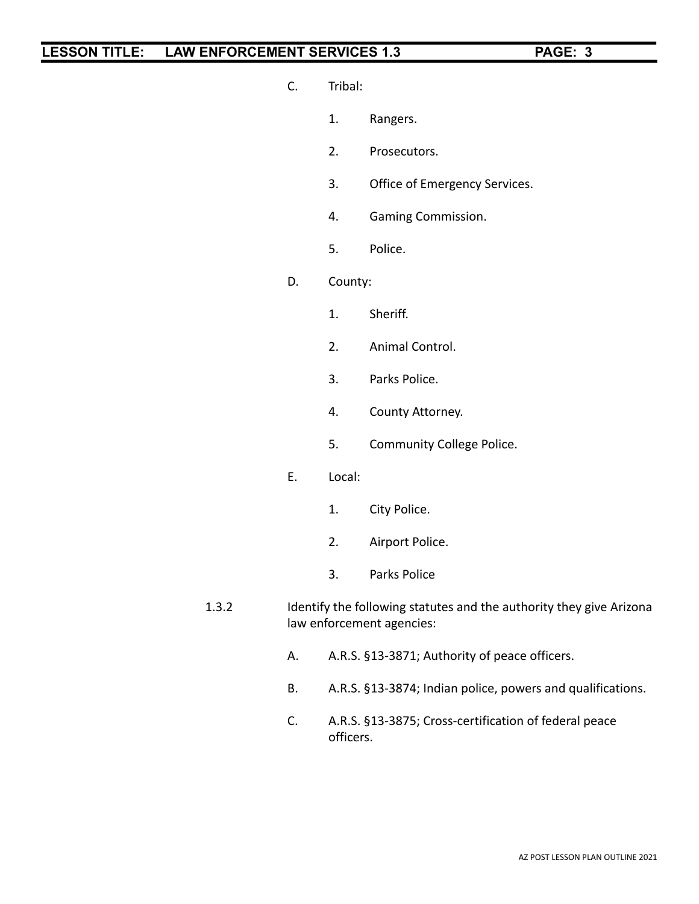- C. Tribal:
	- 1. Rangers.
	- 2. Prosecutors.
	- 3. Office of Emergency Services.
	- 4. Gaming Commission.
	- 5. Police.
- D. County:
	- 1. Sheriff.
	- 2. Animal Control.
	- 3. Parks Police.
	- 4. County Attorney.
	- 5. Community College Police.
- E. Local:
	- 1. City Police.
	- 2. Airport Police.
	- 3. Parks Police
- 1.3.2 Identify the following statutes and the authority they give Arizona law enforcement agencies:
	- A. A.R.S. §13-3871; Authority of peace officers.
	- B. A.R.S. §13-3874; Indian police, powers and qualifications.
	- C. A.R.S. §13-3875; Cross-certification of federal peace officers.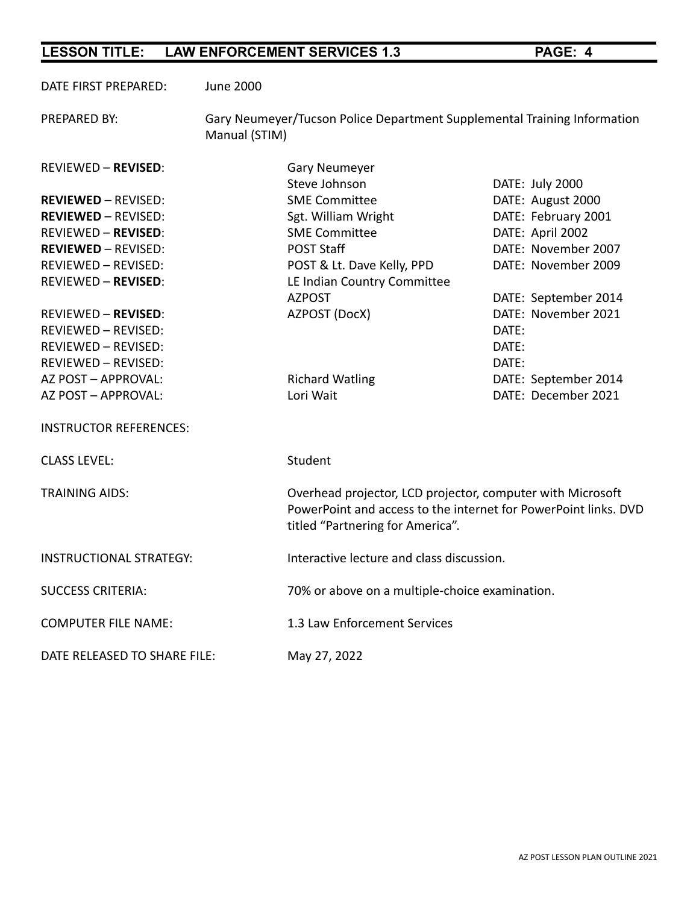DATE FIRST PREPARED: June 2000

PREPARED BY: Gary Neumeyer/Tucson Police Department Supplemental Training Information Manual (STIM)

REVIEWED – **REVISED**: Gary Neumeyer Steve Johnson DATE: July 2000 **REVIEWED** – REVISED: SME Committee DATE: August 2000 **REVIEWED** – REVISED: Sgt. William Wright DATE: February 2001 REVIEWED – **REVISED**: SME Committee The SME Committee DATE: April 2002 **REVIEWED** – REVISED: The Solution of POST Staff CONTROLLER DATE: November 2007 REVIEWED – REVISED: POST & Lt. Dave Kelly, PPD DATE: November 2009 REVIEWED – **REVISED**: LE Indian Country Committee AZPOST DATE: September 2014 REVIEWED – **REVISED**: AZPOST (DocX) DATE: November 2021 REVIEWED – REVISED: DATE: REVIEWED – REVISED: DATE: REVIEWED – REVISED: DATE: AZ POST – APPROVAL: The Richard Watling The DATE: September 2014 AZ POST – APPROVAL: Lori Wait DATE: December 2021 INSTRUCTOR REFERENCES: CLASS LFVFL: Student TRAINING AIDS: Overhead projector, LCD projector, computer with Microsoft PowerPoint and access to the internet for PowerPoint links. DVD titled "Partnering for America". INSTRUCTIONAL STRATEGY: Interactive lecture and class discussion. SUCCESS CRITERIA: 70% or above on a multiple-choice examination. COMPUTER FILE NAME: 1.3 Law Enforcement Services DATE RELEASED TO SHARE FILE: May 27, 2022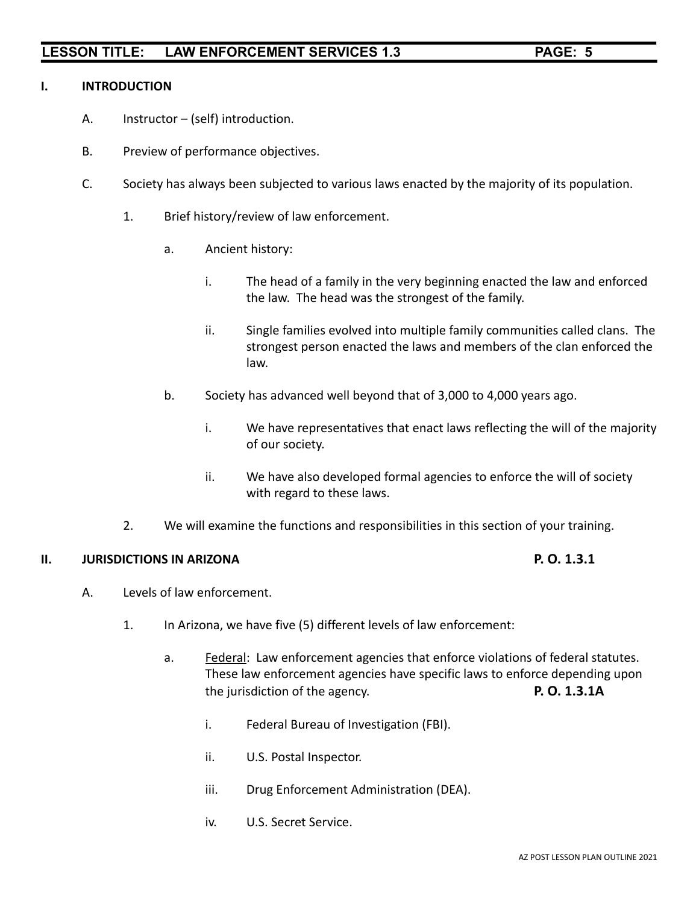### **I. INTRODUCTION**

- A. Instructor (self) introduction.
- B. Preview of performance objectives.
- C. Society has always been subjected to various laws enacted by the majority of its population.
	- 1. Brief history/review of law enforcement.
		- a. Ancient history:
			- i. The head of a family in the very beginning enacted the law and enforced the law. The head was the strongest of the family.
			- ii. Single families evolved into multiple family communities called clans. The strongest person enacted the laws and members of the clan enforced the law.
		- b. Society has advanced well beyond that of 3,000 to 4,000 years ago.
			- i. We have representatives that enact laws reflecting the will of the majority of our society.
			- ii. We have also developed formal agencies to enforce the will of society with regard to these laws.
	- 2. We will examine the functions and responsibilities in this section of your training.

### **II. JURISDICTIONS IN ARIZONA P. O. 1.3.1**

- A. Levels of law enforcement.
	- 1. In Arizona, we have five (5) different levels of law enforcement:
		- a. **Federal:** Law enforcement agencies that enforce violations of federal statutes. These law enforcement agencies have specific laws to enforce depending upon the jurisdiction of the agency. **P. O. 1.3.1A**
			- i. Federal Bureau of Investigation (FBI).
			- ii. U.S. Postal Inspector.
			- iii. Drug Enforcement Administration (DEA).
			- iv. U.S. Secret Service.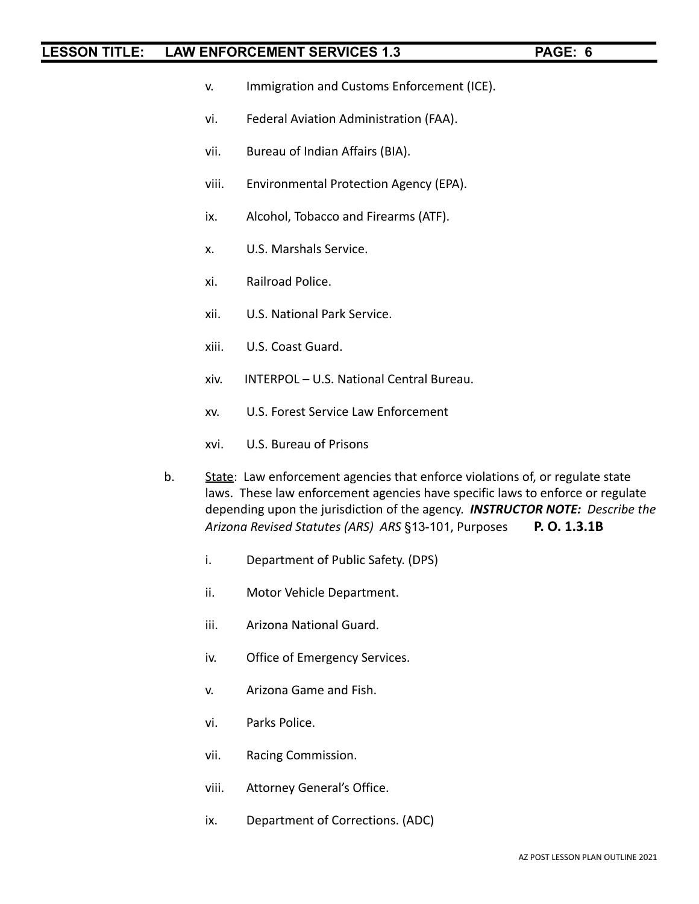- v. Immigration and Customs Enforcement (ICE).
- vi. Federal Aviation Administration (FAA).
- vii. Bureau of Indian Affairs (BIA).
- viii. Environmental Protection Agency (EPA).
- ix. Alcohol, Tobacco and Firearms (ATF).
- x. U.S. Marshals Service.
- xi. Railroad Police.
- xii. U.S. National Park Service.
- xiii. U.S. Coast Guard.
- xiv. INTERPOL U.S. National Central Bureau.
- xv. U.S. Forest Service Law Enforcement
- xvi. U.S. Bureau of Prisons
- b. State: Law enforcement agencies that enforce violations of, or regulate state laws. These law enforcement agencies have specific laws to enforce or regulate depending upon the jurisdiction of the agency. *INSTRUCTOR NOTE: Describe the Arizona Revised Statutes (ARS) ARS* §13-101, Purposes **P. O. 1.3.1B**
	- i. Department of Public Safety. (DPS)
	- ii. Motor Vehicle Department.
	- iii. Arizona National Guard.
	- iv. Office of Emergency Services.
	- v. Arizona Game and Fish.
	- vi. Parks Police.
	- vii. Racing Commission.
	- viii. Attorney General's Office.
	- ix. Department of Corrections. (ADC)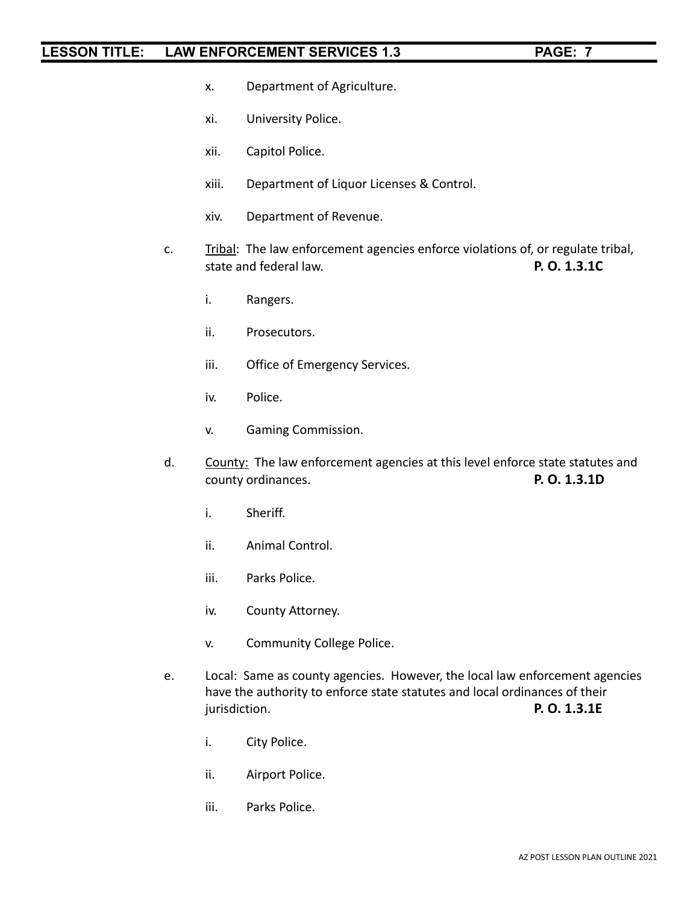- x. Department of Agriculture.
- xi. University Police.
- xii. Capitol Police.
- xiii. Department of Liquor Licenses & Control.
- xiv. Department of Revenue.
- c. Tribal: The law enforcement agencies enforce violations of, or regulate tribal, state and federal law. **P. O. 1.3.1C**
	- i. Rangers.
	- ii. Prosecutors.
	- iii. Office of Emergency Services.
	- iv. Police.
	- v. Gaming Commission.
- d. County: The law enforcement agencies at this level enforce state statutes and county ordinances. **P. O. 1.3.1D**
	- i. Sheriff.
	- ii. Animal Control.
	- iii. Parks Police.
	- iv. County Attorney.
	- v. Community College Police.
- e. Local: Same as county agencies. However, the local law enforcement agencies have the authority to enforce state statutes and local ordinances of their jurisdiction. **P. O. 1.3.1E**
	- i. City Police.
	- ii. Airport Police.
	- iii. Parks Police.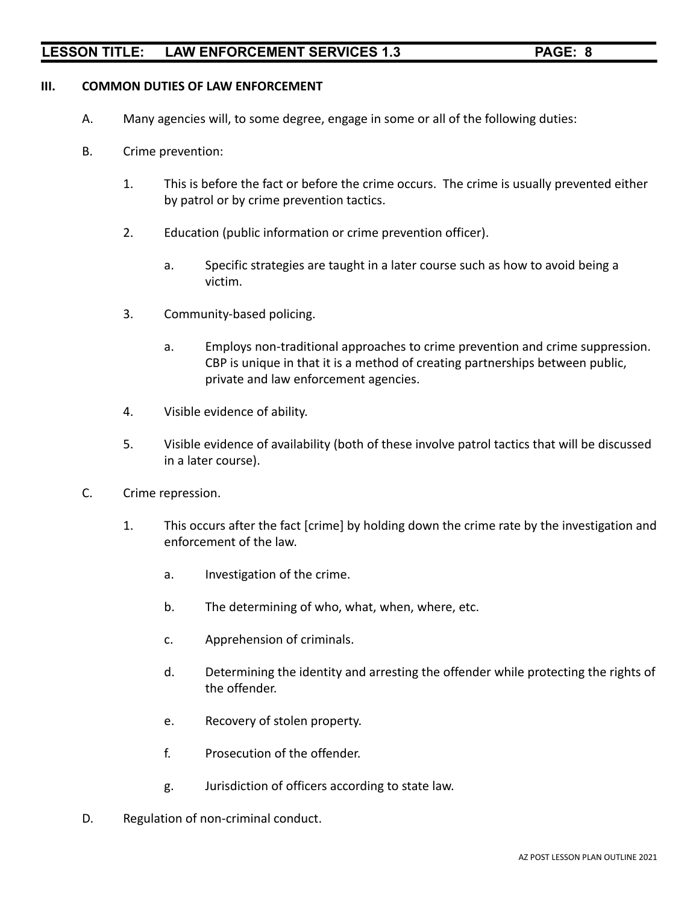### **III. COMMON DUTIES OF LAW ENFORCEMENT**

- A. Many agencies will, to some degree, engage in some or all of the following duties:
- B. Crime prevention:
	- 1. This is before the fact or before the crime occurs. The crime is usually prevented either by patrol or by crime prevention tactics.
	- 2. Education (public information or crime prevention officer).
		- a. Specific strategies are taught in a later course such as how to avoid being a victim.
	- 3. Community-based policing.
		- a. Employs non-traditional approaches to crime prevention and crime suppression. CBP is unique in that it is a method of creating partnerships between public, private and law enforcement agencies.
	- 4. Visible evidence of ability.
	- 5. Visible evidence of availability (both of these involve patrol tactics that will be discussed in a later course).
- C. Crime repression.
	- 1. This occurs after the fact [crime] by holding down the crime rate by the investigation and enforcement of the law.
		- a. Investigation of the crime.
		- b. The determining of who, what, when, where, etc.
		- c. Apprehension of criminals.
		- d. Determining the identity and arresting the offender while protecting the rights of the offender.
		- e. Recovery of stolen property.
		- f. Prosecution of the offender.
		- g. Jurisdiction of officers according to state law.
- D. Regulation of non-criminal conduct.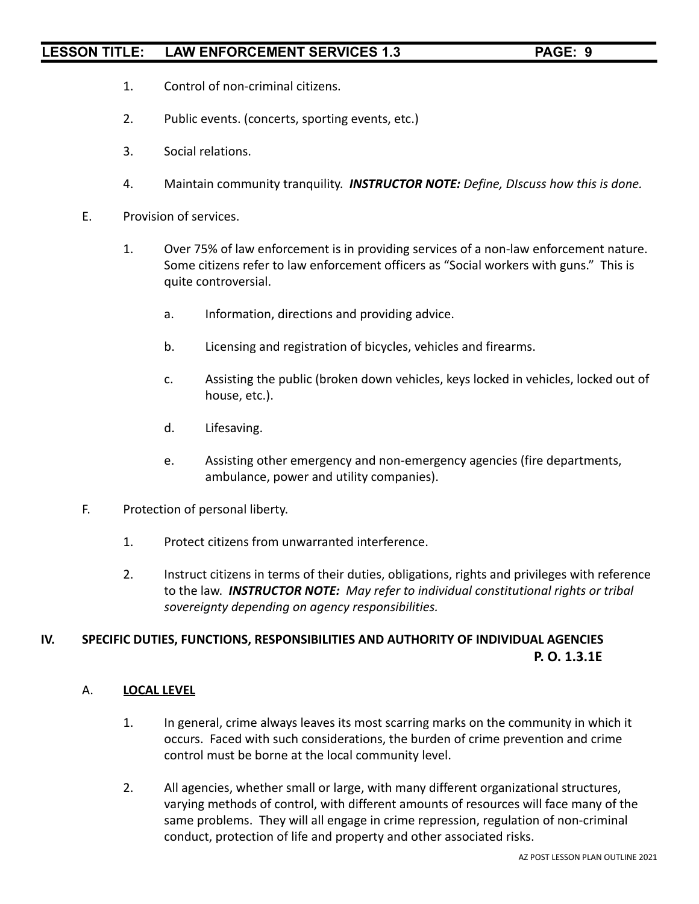- 1. Control of non-criminal citizens.
- 2. Public events. (concerts, sporting events, etc.)
- 3. Social relations.
- 4. Maintain community tranquility. *INSTRUCTOR NOTE: Define, DIscuss how this is done.*
- E. Provision of services.
	- 1. Over 75% of law enforcement is in providing services of a non-law enforcement nature. Some citizens refer to law enforcement officers as "Social workers with guns." This is quite controversial.
		- a. Information, directions and providing advice.
		- b. Licensing and registration of bicycles, vehicles and firearms.
		- c. Assisting the public (broken down vehicles, keys locked in vehicles, locked out of house, etc.).
		- d. Lifesaving.
		- e. Assisting other emergency and non-emergency agencies (fire departments, ambulance, power and utility companies).
- F. Protection of personal liberty.
	- 1. Protect citizens from unwarranted interference.
	- 2. Instruct citizens in terms of their duties, obligations, rights and privileges with reference to the law. *INSTRUCTOR NOTE: May refer to individual constitutional rights or tribal sovereignty depending on agency responsibilities.*

## **IV. SPECIFIC DUTIES, FUNCTIONS, RESPONSIBILITIES AND AUTHORITY OF INDIVIDUAL AGENCIES P. O. 1.3.1E**

### A. **LOCAL LEVEL**

- 1. In general, crime always leaves its most scarring marks on the community in which it occurs. Faced with such considerations, the burden of crime prevention and crime control must be borne at the local community level.
- 2. All agencies, whether small or large, with many different organizational structures, varying methods of control, with different amounts of resources will face many of the same problems. They will all engage in crime repression, regulation of non-criminal conduct, protection of life and property and other associated risks.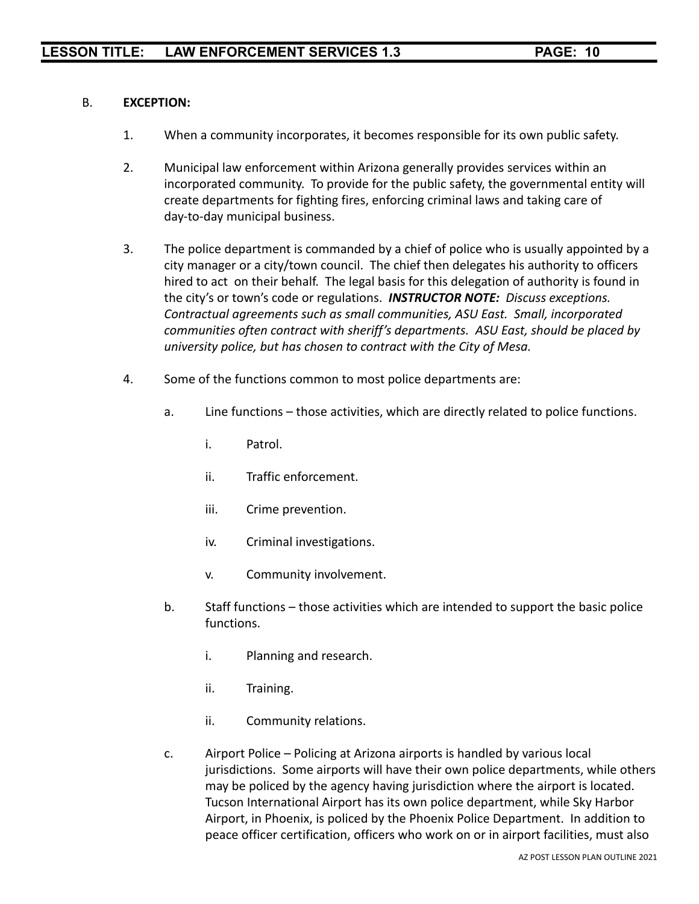### B. **EXCEPTION:**

- 1. When a community incorporates, it becomes responsible for its own public safety.
- 2. Municipal law enforcement within Arizona generally provides services within an incorporated community. To provide for the public safety, the governmental entity will create departments for fighting fires, enforcing criminal laws and taking care of day-to-day municipal business.
- 3. The police department is commanded by a chief of police who is usually appointed by a city manager or a city/town council. The chief then delegates his authority to officers hired to act on their behalf. The legal basis for this delegation of authority is found in the city's or town's code or regulations. *INSTRUCTOR NOTE: Discuss exceptions. Contractual agreements such as small communities, ASU East. Small, incorporated communities often contract with sheriff's departments. ASU East, should be placed by university police, but has chosen to contract with the City of Mesa.*
- 4. Some of the functions common to most police departments are:
	- a. Line functions those activities, which are directly related to police functions.
		- i. Patrol.
		- ii. Traffic enforcement.
		- iii. Crime prevention.
		- iv. Criminal investigations.
		- v. Community involvement.
	- b. Staff functions those activities which are intended to support the basic police functions.
		- i. Planning and research.
		- ii. Training.
		- ii. Community relations.
	- c. Airport Police Policing at Arizona airports is handled by various local jurisdictions. Some airports will have their own police departments, while others may be policed by the agency having jurisdiction where the airport is located. Tucson International Airport has its own police department, while Sky Harbor Airport, in Phoenix, is policed by the Phoenix Police Department. In addition to peace officer certification, officers who work on or in airport facilities, must also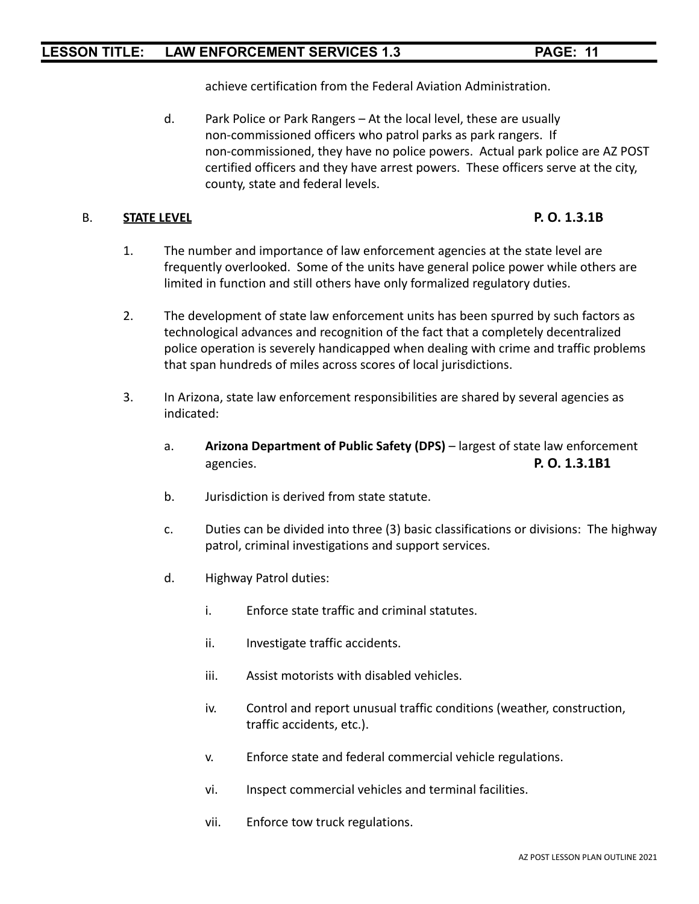achieve certification from the Federal Aviation Administration.

d. Park Police or Park Rangers – At the local level, these are usually non-commissioned officers who patrol parks as park rangers. If non-commissioned, they have no police powers. Actual park police are AZ POST certified officers and they have arrest powers. These officers serve at the city, county, state and federal levels.

### B. **STATE LEVEL P. O. 1.3.1B**

- 1. The number and importance of law enforcement agencies at the state level are frequently overlooked. Some of the units have general police power while others are limited in function and still others have only formalized regulatory duties.
- 2. The development of state law enforcement units has been spurred by such factors as technological advances and recognition of the fact that a completely decentralized police operation is severely handicapped when dealing with crime and traffic problems that span hundreds of miles across scores of local jurisdictions.
- 3. In Arizona, state law enforcement responsibilities are shared by several agencies as indicated:
	- a. **Arizona Department of Public Safety (DPS)** largest of state law enforcement agencies. **P. O. 1.3.1B1**
	- b. Jurisdiction is derived from state statute.
	- c. Duties can be divided into three (3) basic classifications or divisions: The highway patrol, criminal investigations and support services.
	- d. Highway Patrol duties:
		- i. Enforce state traffic and criminal statutes.
		- ii. Investigate traffic accidents.
		- iii. Assist motorists with disabled vehicles.
		- iv. Control and report unusual traffic conditions (weather, construction, traffic accidents, etc.).
		- v. Enforce state and federal commercial vehicle regulations.
		- vi. Inspect commercial vehicles and terminal facilities.
		- vii. Enforce tow truck regulations.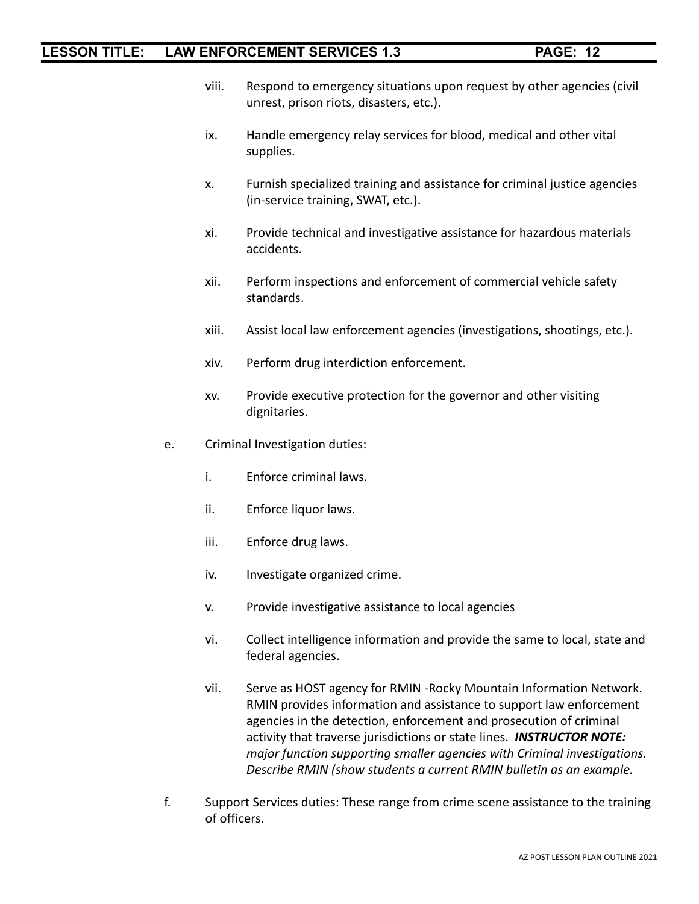- viii. Respond to emergency situations upon request by other agencies (civil unrest, prison riots, disasters, etc.).
- ix. Handle emergency relay services for blood, medical and other vital supplies.
- x. Furnish specialized training and assistance for criminal justice agencies (in-service training, SWAT, etc.).
- xi. Provide technical and investigative assistance for hazardous materials accidents.
- xii. Perform inspections and enforcement of commercial vehicle safety standards.
- xiii. Assist local law enforcement agencies (investigations, shootings, etc.).
- xiv. Perform drug interdiction enforcement.
- xv. Provide executive protection for the governor and other visiting dignitaries.
- e. Criminal Investigation duties:
	- i. Enforce criminal laws.
	- ii. Enforce liquor laws.
	- iii. Enforce drug laws.
	- iv. Investigate organized crime.
	- v. Provide investigative assistance to local agencies
	- vi. Collect intelligence information and provide the same to local, state and federal agencies.
	- vii. Serve as HOST agency for RMIN -Rocky Mountain Information Network. RMIN provides information and assistance to support law enforcement agencies in the detection, enforcement and prosecution of criminal activity that traverse jurisdictions or state lines. *INSTRUCTOR NOTE: major function supporting smaller agencies with Criminal investigations. Describe RMIN (show students a current RMIN bulletin as an example.*
- f. Support Services duties: These range from crime scene assistance to the training of officers.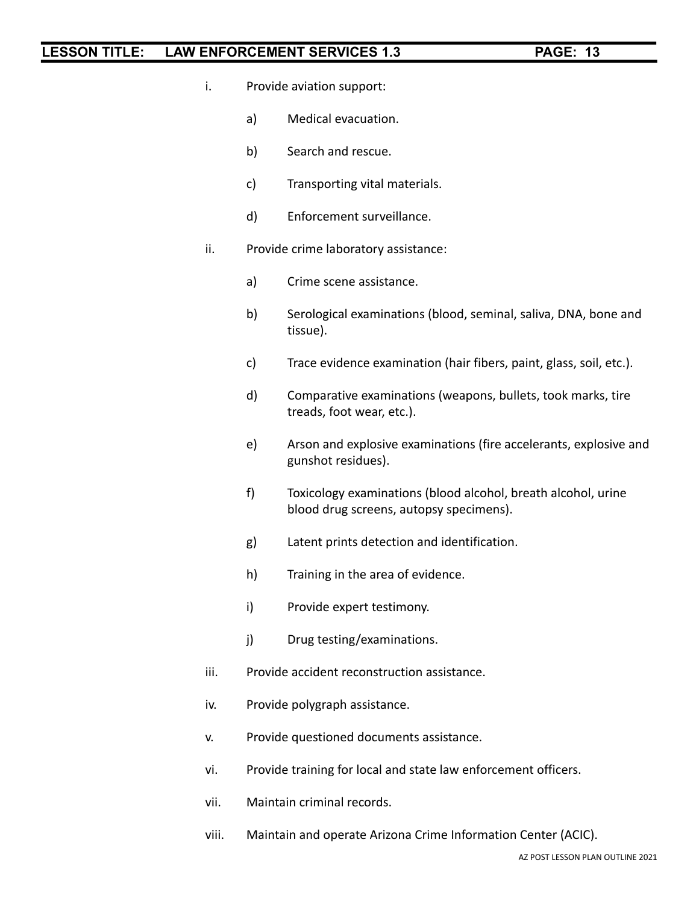- i. Provide aviation support:
	- a) Medical evacuation.
	- b) Search and rescue.
	- c) Transporting vital materials.
	- d) Enforcement surveillance.
- ii. Provide crime laboratory assistance:
	- a) Crime scene assistance.
	- b) Serological examinations (blood, seminal, saliva, DNA, bone and tissue).
	- c) Trace evidence examination (hair fibers, paint, glass, soil, etc.).
	- d) Comparative examinations (weapons, bullets, took marks, tire treads, foot wear, etc.).
	- e) Arson and explosive examinations (fire accelerants, explosive and gunshot residues).
	- f) Toxicology examinations (blood alcohol, breath alcohol, urine blood drug screens, autopsy specimens).
	- g) Latent prints detection and identification.
	- h) Training in the area of evidence.
	- i) Provide expert testimony.
	- j) Drug testing/examinations.
- iii. Provide accident reconstruction assistance.
- iv. Provide polygraph assistance.
- v. Provide questioned documents assistance.
- vi. Provide training for local and state law enforcement officers.
- vii. Maintain criminal records.
- viii. Maintain and operate Arizona Crime Information Center (ACIC).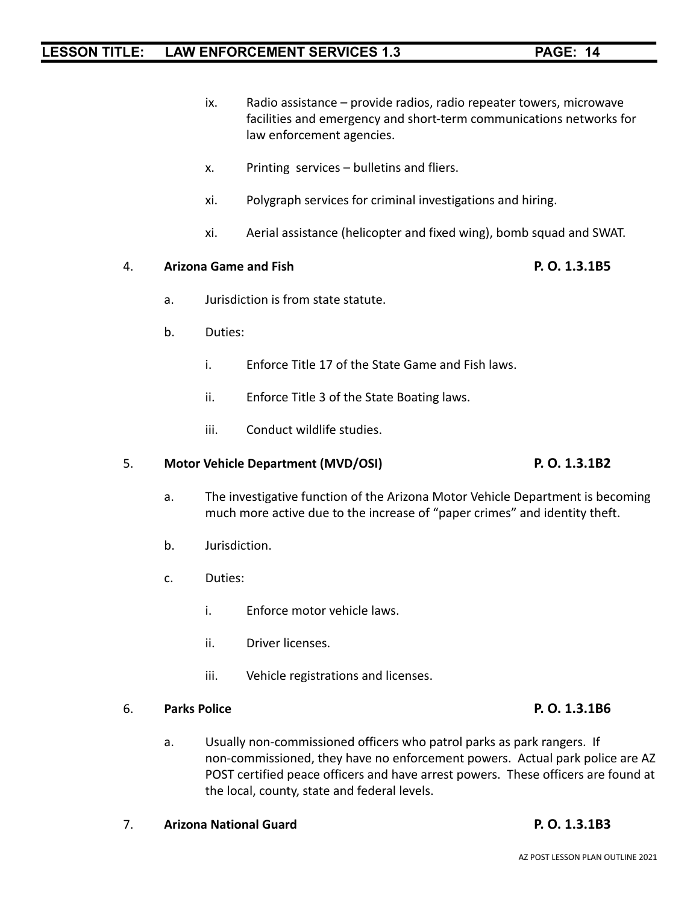- ix. Radio assistance provide radios, radio repeater towers, microwave facilities and emergency and short-term communications networks for law enforcement agencies.
- x. Printing services bulletins and fliers.
- xi. Polygraph services for criminal investigations and hiring.
- xi. Aerial assistance (helicopter and fixed wing), bomb squad and SWAT.

### 4. **Arizona Game and Fish P. O. 1.3.1B5**

- a. Jurisdiction is from state statute.
- b. Duties:
	- i. Enforce Title 17 of the State Game and Fish laws.
	- ii. Enforce Title 3 of the State Boating laws.
	- iii. Conduct wildlife studies.

## 5. **Motor Vehicle Department (MVD/OSI) P. O. 1.3.1B2**

- a. The investigative function of the Arizona Motor Vehicle Department is becoming much more active due to the increase of "paper crimes" and identity theft.
- b. Jurisdiction.
- c. Duties:
	- i. Enforce motor vehicle laws.
	- ii. Driver licenses.
	- iii. Vehicle registrations and licenses.

### 6. **Parks Police P. O. 1.3.1B6**

- a. Usually non-commissioned officers who patrol parks as park rangers. If non-commissioned, they have no enforcement powers. Actual park police are AZ POST certified peace officers and have arrest powers. These officers are found at the local, county, state and federal levels.
- 7. **Arizona National Guard P. O. 1.3.1B3**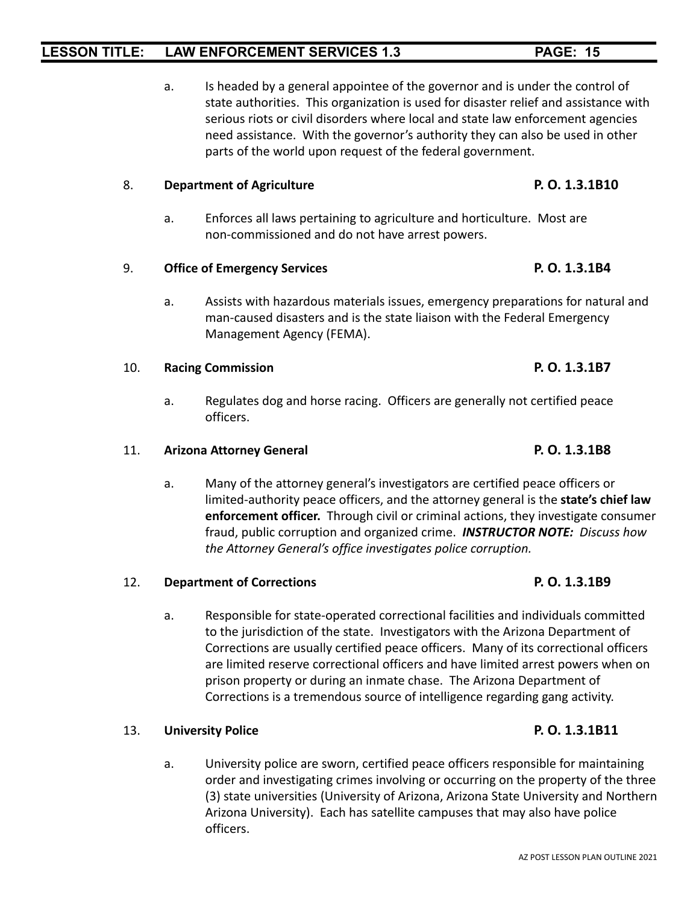a. Is headed by a general appointee of the governor and is under the control of state authorities. This organization is used for disaster relief and assistance with serious riots or civil disorders where local and state law enforcement agencies need assistance. With the governor's authority they can also be used in other parts of the world upon request of the federal government.

### 8. **Department of Agriculture P. O. 1.3.1B10**

a. Enforces all laws pertaining to agriculture and horticulture. Most are non-commissioned and do not have arrest powers.

### 9. **Office of Emergency Services P. O. 1.3.1B4**

a. Assists with hazardous materials issues, emergency preparations for natural and man-caused disasters and is the state liaison with the Federal Emergency Management Agency (FEMA).

### 10. **Racing Commission P. O. 1.3.1B7**

a. Regulates dog and horse racing. Officers are generally not certified peace officers.

### 11. **Arizona Attorney General P. O. 1.3.1B8**

a. Many of the attorney general's investigators are certified peace officers or limited-authority peace officers, and the attorney general is the **state's chief law enforcement officer.** Through civil or criminal actions, they investigate consumer fraud, public corruption and organized crime. *INSTRUCTOR NOTE: Discuss how the Attorney General's office investigates police corruption.*

### 12. **Department of Corrections P. O. 1.3.1B9**

a. Responsible for state-operated correctional facilities and individuals committed to the jurisdiction of the state. Investigators with the Arizona Department of Corrections are usually certified peace officers. Many of its correctional officers are limited reserve correctional officers and have limited arrest powers when on prison property or during an inmate chase. The Arizona Department of Corrections is a tremendous source of intelligence regarding gang activity.

### 13. **University Police P. O. 1.3.1B11**

a. University police are sworn, certified peace officers responsible for maintaining order and investigating crimes involving or occurring on the property of the three (3) state universities (University of Arizona, Arizona State University and Northern Arizona University). Each has satellite campuses that may also have police officers.

### AZ POST LESSON PLAN OUTLINE 2021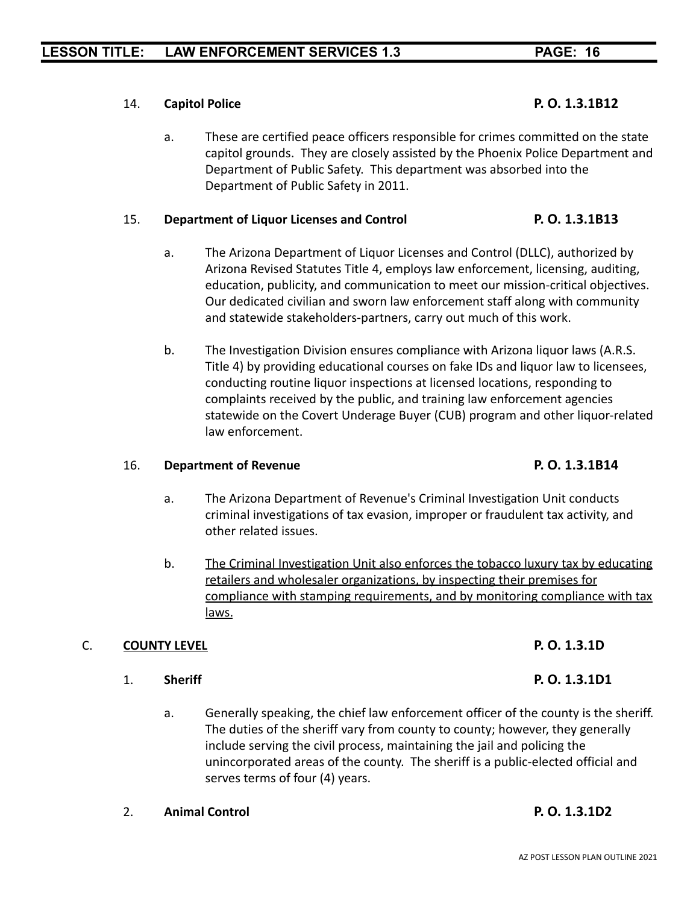### 14. **Capitol Police P. O. 1.3.1B12**

a. These are certified peace officers responsible for crimes committed on the state capitol grounds. They are closely assisted by the Phoenix Police Department and Department of Public Safety. This department was absorbed into the Department of Public Safety in 2011.

### 15. **Department of Liquor Licenses and Control P. O. 1.3.1B13**

- a. The Arizona Department of Liquor Licenses and Control (DLLC), authorized by Arizona Revised Statutes Title 4, employs law enforcement, licensing, auditing, education, publicity, and communication to meet our mission-critical objectives. Our dedicated civilian and sworn law enforcement staff along with community and statewide stakeholders-partners, carry out much of this work.
- b. The Investigation Division ensures compliance with Arizona liquor laws (A.R.S. Title 4) by providing educational courses on fake IDs and liquor law to licensees, conducting routine liquor inspections at licensed locations, responding to complaints received by the public, and training law enforcement agencies statewide on the Covert Underage Buyer (CUB) program and other liquor-related law enforcement.

### 16. **Department of Revenue P. O. 1.3.1B14**

- a. The Arizona Department of Revenue's Criminal Investigation Unit conducts criminal investigations of tax evasion, improper or fraudulent tax activity, and other related issues.
- b. The Criminal Investigation Unit also enforces the tobacco luxury tax by educating retailers and wholesaler organizations, by inspecting their premises for compliance with stamping requirements, and by monitoring compliance with tax laws.

### C. **COUNTY LEVEL P. O. 1.3.1D**

### 1. **Sheriff P. O. 1.3.1D1**

a. Generally speaking, the chief law enforcement officer of the county is the sheriff. The duties of the sheriff vary from county to county; however, they generally include serving the civil process, maintaining the jail and policing the unincorporated areas of the county. The sheriff is a public-elected official and serves terms of four (4) years.

### 2. **Animal Control P. O. 1.3.1D2**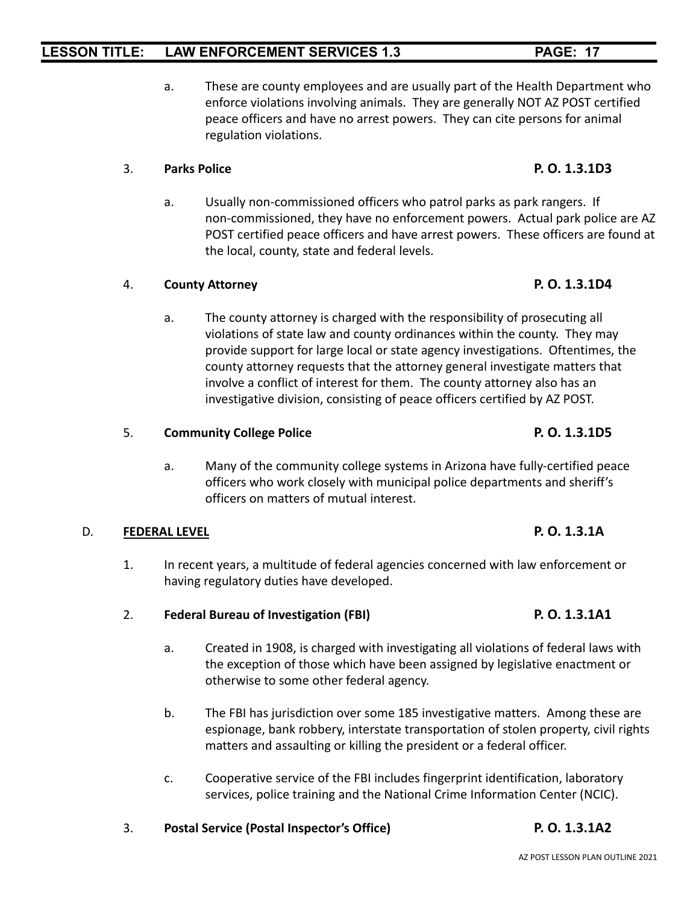a. These are county employees and are usually part of the Health Department who enforce violations involving animals. They are generally NOT AZ POST certified peace officers and have no arrest powers. They can cite persons for animal regulation violations.

### 3. **Parks Police P. O. 1.3.1D3**

a. Usually non-commissioned officers who patrol parks as park rangers. If non-commissioned, they have no enforcement powers. Actual park police are AZ POST certified peace officers and have arrest powers. These officers are found at the local, county, state and federal levels.

### 4. **County Attorney P. O. 1.3.1D4**

a. The county attorney is charged with the responsibility of prosecuting all violations of state law and county ordinances within the county. They may provide support for large local or state agency investigations. Oftentimes, the county attorney requests that the attorney general investigate matters that involve a conflict of interest for them. The county attorney also has an investigative division, consisting of peace officers certified by AZ POST.

### 5. **Community College Police P. O. 1.3.1D5**

a. Many of the community college systems in Arizona have fully-certified peace officers who work closely with municipal police departments and sheriff's officers on matters of mutual interest.

### D. **FEDERAL LEVEL P. O. 1.3.1A**

- 1. In recent years, a multitude of federal agencies concerned with law enforcement or having regulatory duties have developed.
- 2. **Federal Bureau of Investigation (FBI) P. O. 1.3.1A1**
	- a. Created in 1908, is charged with investigating all violations of federal laws with the exception of those which have been assigned by legislative enactment or otherwise to some other federal agency.
	- b. The FBI has jurisdiction over some 185 investigative matters. Among these are espionage, bank robbery, interstate transportation of stolen property, civil rights matters and assaulting or killing the president or a federal officer.
	- c. Cooperative service of the FBI includes fingerprint identification, laboratory services, police training and the National Crime Information Center (NCIC).
- 3. **Postal Service (Postal Inspector's Office) P. O. 1.3.1A2**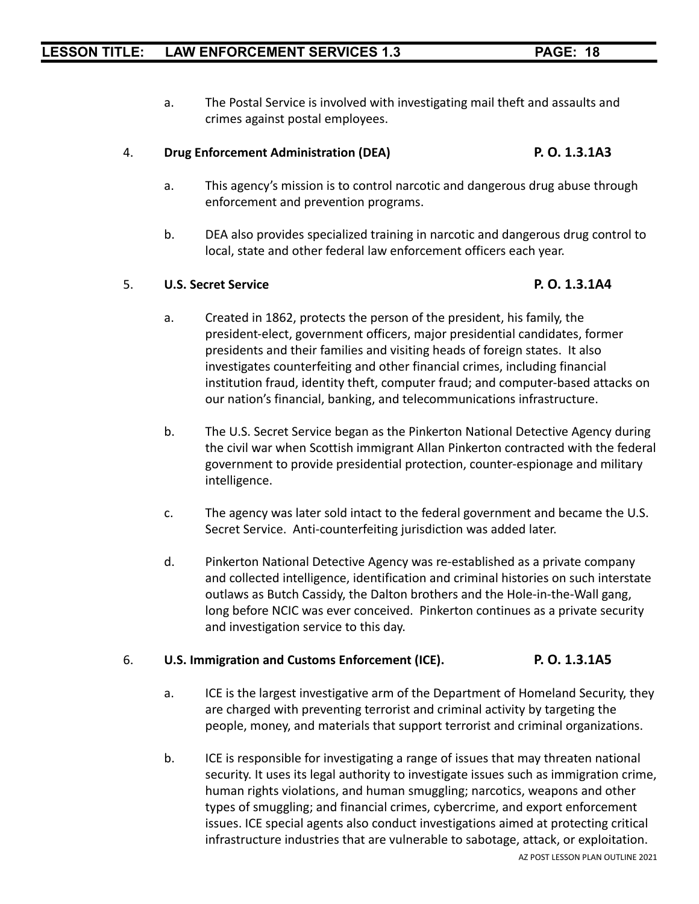- 
- a. The Postal Service is involved with investigating mail theft and assaults and crimes against postal employees.

## 4. **Drug Enforcement Administration (DEA) P. O. 1.3.1A3**

- a. This agency's mission is to control narcotic and dangerous drug abuse through enforcement and prevention programs.
- b. DEA also provides specialized training in narcotic and dangerous drug control to local, state and other federal law enforcement officers each year.

### 5. **U.S. Secret Service P. O. 1.3.1A4**

- a. Created in 1862, protects the person of the president, his family, the president-elect, government officers, major presidential candidates, former presidents and their families and visiting heads of foreign states. It also investigates counterfeiting and other financial crimes, including financial institution fraud, identity theft, computer fraud; and computer-based attacks on our nation's financial, banking, and telecommunications infrastructure.
- b. The U.S. Secret Service began as the Pinkerton National Detective Agency during the civil war when Scottish immigrant Allan Pinkerton contracted with the federal government to provide presidential protection, counter-espionage and military intelligence.
- c. The agency was later sold intact to the federal government and became the U.S. Secret Service. Anti-counterfeiting jurisdiction was added later.
- d. Pinkerton National Detective Agency was re-established as a private company and collected intelligence, identification and criminal histories on such interstate outlaws as Butch Cassidy, the Dalton brothers and the Hole-in-the-Wall gang, long before NCIC was ever conceived. Pinkerton continues as a private security and investigation service to this day.

## 6. **U.S. Immigration and Customs Enforcement (ICE). P. O. 1.3.1A5**

- a. ICE is the largest investigative arm of the Department of Homeland Security, they are charged with preventing terrorist and criminal activity by targeting the people, money, and materials that support terrorist and criminal organizations.
- b. ICE is responsible for investigating a range of issues that may threaten national security. It uses its legal authority to investigate issues such as immigration crime, human rights violations, and human smuggling; narcotics, weapons and other types of smuggling; and financial crimes, cybercrime, and export enforcement issues. ICE special agents also conduct investigations aimed at protecting critical infrastructure industries that are vulnerable to sabotage, attack, or exploitation.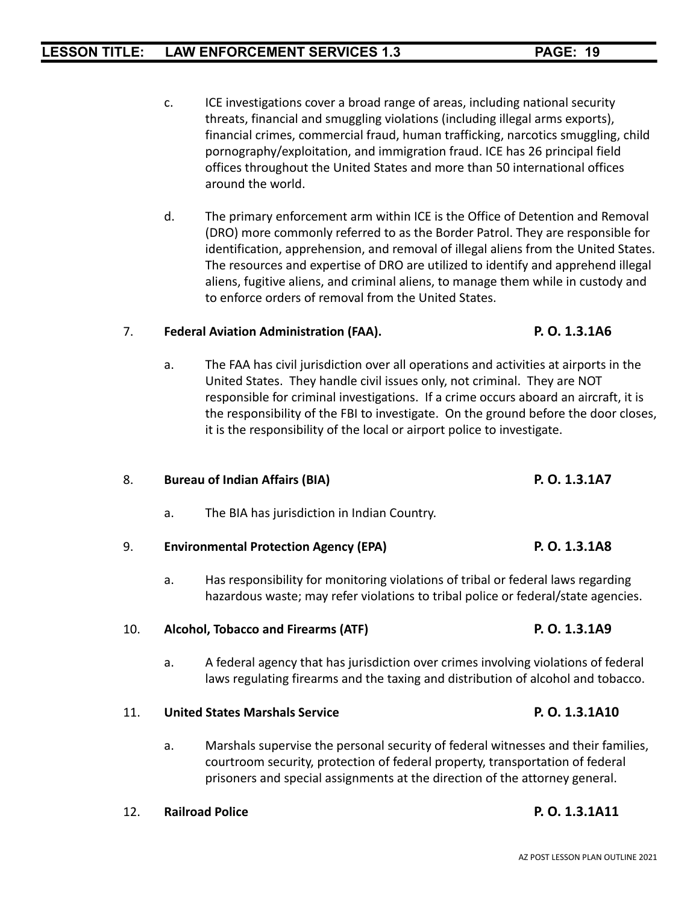- c. ICE investigations cover a broad range of areas, including national security threats, financial and smuggling violations (including illegal arms exports), financial crimes, commercial fraud, human trafficking, narcotics smuggling, child pornography/exploitation, and immigration fraud. ICE has 26 principal field offices throughout the United States and more than 50 international offices around the world.
- d. The primary enforcement arm within ICE is the Office of Detention and Removal (DRO) more commonly referred to as the Border Patrol. They are responsible for identification, apprehension, and removal of illegal aliens from the United States. The resources and expertise of DRO are utilized to identify and apprehend illegal aliens, fugitive aliens, and criminal aliens, to manage them while in custody and to enforce orders of removal from the United States.

### 7. **Federal Aviation Administration (FAA). P. O. 1.3.1A6**

a. The FAA has civil jurisdiction over all operations and activities at airports in the United States. They handle civil issues only, not criminal. They are NOT responsible for criminal investigations. If a crime occurs aboard an aircraft, it is the responsibility of the FBI to investigate. On the ground before the door closes, it is the responsibility of the local or airport police to investigate.

## 8. **Bureau of Indian Affairs (BIA) P. O. 1.3.1A7**

a. The BIA has jurisdiction in Indian Country.

## 9. **Environmental Protection Agency (EPA) P. O. 1.3.1A8**

a. Has responsibility for monitoring violations of tribal or federal laws regarding hazardous waste; may refer violations to tribal police or federal/state agencies.

## 10. **Alcohol, Tobacco and Firearms (ATF) P. O. 1.3.1A9**

a. A federal agency that has jurisdiction over crimes involving violations of federal laws regulating firearms and the taxing and distribution of alcohol and tobacco.

## 11. **United States Marshals Service P. O. 1.3.1A10**

a. Marshals supervise the personal security of federal witnesses and their families, courtroom security, protection of federal property, transportation of federal prisoners and special assignments at the direction of the attorney general.

## 12. **Railroad Police P. O. 1.3.1A11**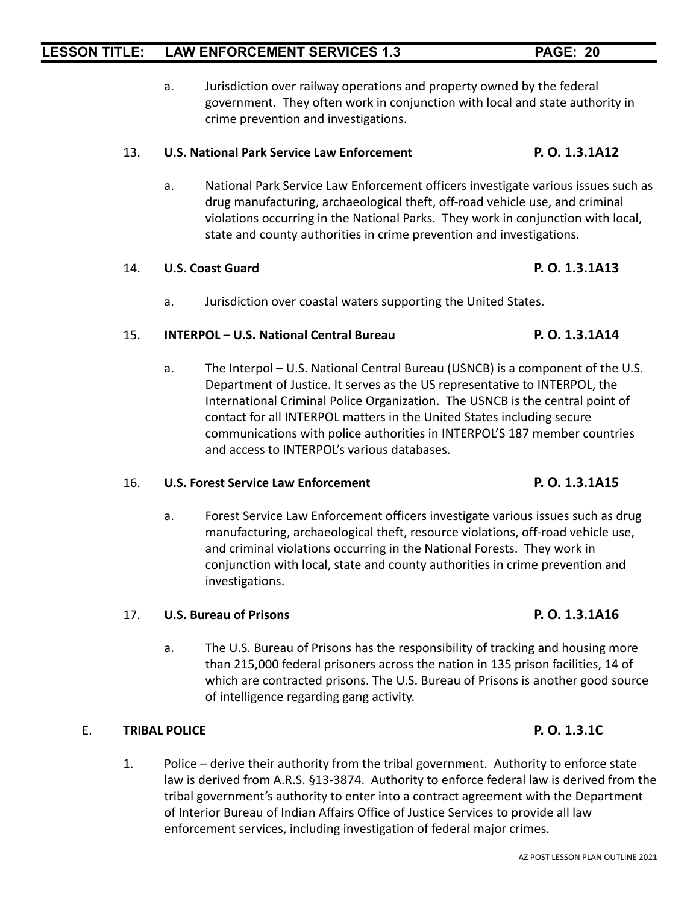a. Jurisdiction over railway operations and property owned by the federal government. They often work in conjunction with local and state authority in crime prevention and investigations.

### 13. **U.S. National Park Service Law Enforcement P. O. 1.3.1A12**

a. National Park Service Law Enforcement officers investigate various issues such as drug manufacturing, archaeological theft, off-road vehicle use, and criminal violations occurring in the National Parks. They work in conjunction with local, state and county authorities in crime prevention and investigations.

### 14. **U.S. Coast Guard P. O. 1.3.1A13**

a. Jurisdiction over coastal waters supporting the United States.

### 15. **INTERPOL – U.S. National Central Bureau P. O. 1.3.1A14**

a. The Interpol – U.S. National Central Bureau (USNCB) is a component of the U.S. Department of Justice. It serves as the US representative to INTERPOL, the International Criminal Police Organization. The USNCB is the central point of contact for all INTERPOL matters in the United States including secure communications with police authorities in INTERPOL'S 187 member countries and access to INTERPOL's various databases.

### 16. **U.S. Forest Service Law Enforcement P. O. 1.3.1A15**

a. Forest Service Law Enforcement officers investigate various issues such as drug manufacturing, archaeological theft, resource violations, off-road vehicle use, and criminal violations occurring in the National Forests. They work in conjunction with local, state and county authorities in crime prevention and investigations.

### 17. **U.S. Bureau of Prisons P. O. 1.3.1A16**

a. The U.S. Bureau of Prisons has the responsibility of tracking and housing more than 215,000 federal prisoners across the nation in 135 prison facilities, 14 of which are contracted prisons. The U.S. Bureau of Prisons is another good source of intelligence regarding gang activity.

### E. **TRIBAL POLICE P. O. 1.3.1C**

1. Police – derive their authority from the tribal government. Authority to enforce state law is derived from A.R.S. §13-3874. Authority to enforce federal law is derived from the tribal government's authority to enter into a contract agreement with the Department of Interior Bureau of Indian Affairs Office of Justice Services to provide all law enforcement services, including investigation of federal major crimes.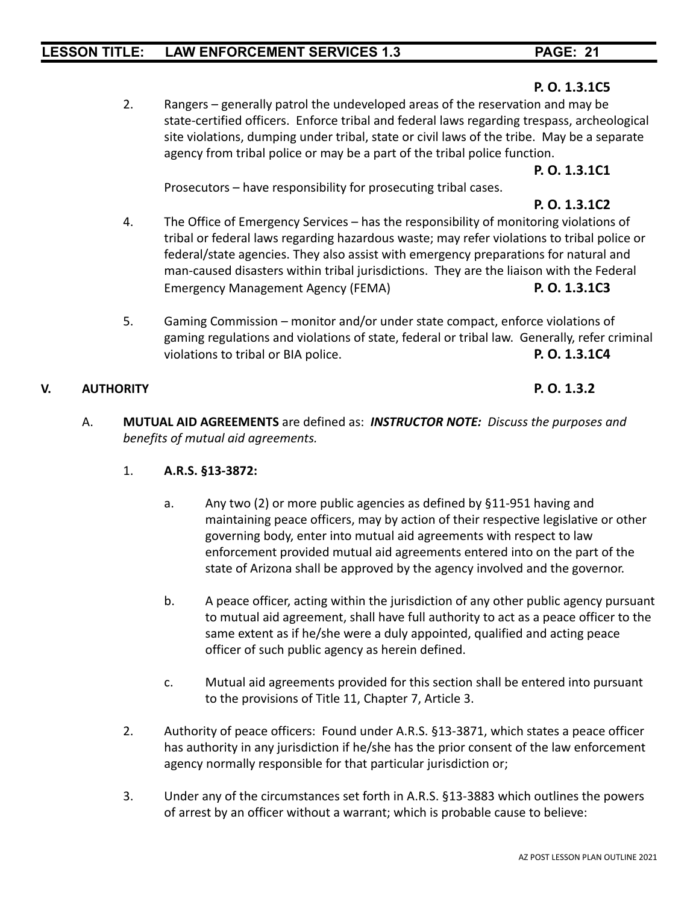### **P. O. 1.3.1C5**

2. Rangers – generally patrol the undeveloped areas of the reservation and may be state-certified officers. Enforce tribal and federal laws regarding trespass, archeological site violations, dumping under tribal, state or civil laws of the tribe. May be a separate agency from tribal police or may be a part of the tribal police function.

**P. O. 1.3.1C1**

Prosecutors – have responsibility for prosecuting tribal cases.

## **P. O. 1.3.1C2**

- 4. The Office of Emergency Services has the responsibility of monitoring violations of tribal or federal laws regarding hazardous waste; may refer violations to tribal police or federal/state agencies. They also assist with emergency preparations for natural and man-caused disasters within tribal jurisdictions. They are the liaison with the Federal Emergency Management Agency (FEMA) **P. O. 1.3.1C3**
- 5. Gaming Commission monitor and/or under state compact, enforce violations of gaming regulations and violations of state, federal or tribal law. Generally, refer criminal violations to tribal or BIA police. **P. O. 1.3.1C4**

### **V. AUTHORITY P. O. 1.3.2**

A. **MUTUAL AID AGREEMENTS** are defined as: *INSTRUCTOR NOTE: Discuss the purposes and benefits of mutual aid agreements.*

### 1. **A.R.S. §13-3872:**

- a. Any two (2) or more public agencies as defined by §11-951 having and maintaining peace officers, may by action of their respective legislative or other governing body, enter into mutual aid agreements with respect to law enforcement provided mutual aid agreements entered into on the part of the state of Arizona shall be approved by the agency involved and the governor.
- b. A peace officer, acting within the jurisdiction of any other public agency pursuant to mutual aid agreement, shall have full authority to act as a peace officer to the same extent as if he/she were a duly appointed, qualified and acting peace officer of such public agency as herein defined.
- c. Mutual aid agreements provided for this section shall be entered into pursuant to the provisions of Title 11, Chapter 7, Article 3.
- 2. Authority of peace officers: Found under A.R.S. §13-3871, which states a peace officer has authority in any jurisdiction if he/she has the prior consent of the law enforcement agency normally responsible for that particular jurisdiction or;
- 3. Under any of the circumstances set forth in A.R.S. §13-3883 which outlines the powers of arrest by an officer without a warrant; which is probable cause to believe: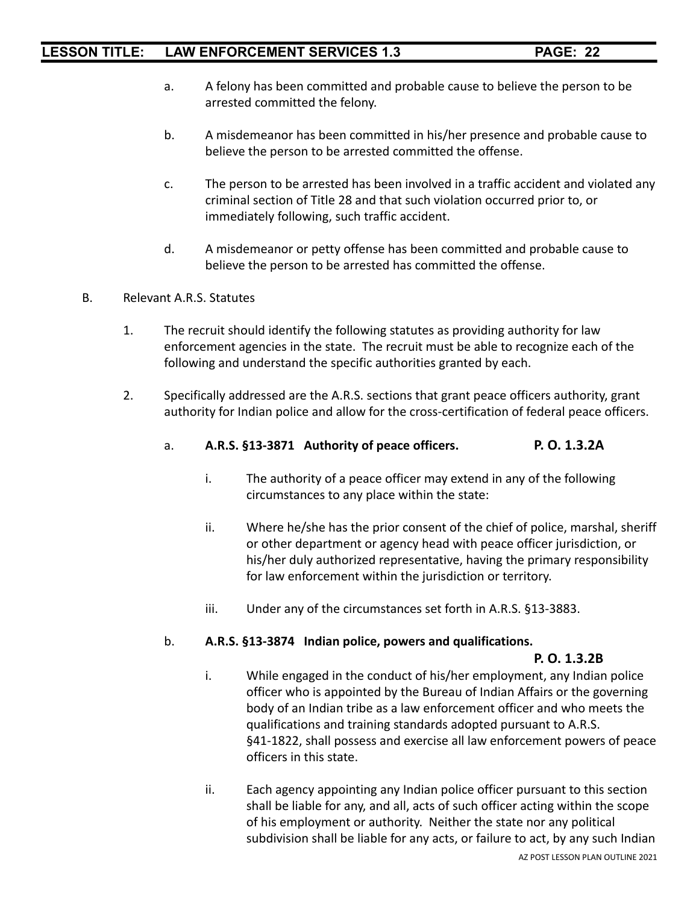- a. A felony has been committed and probable cause to believe the person to be arrested committed the felony.
- b. A misdemeanor has been committed in his/her presence and probable cause to believe the person to be arrested committed the offense.
- c. The person to be arrested has been involved in a traffic accident and violated any criminal section of Title 28 and that such violation occurred prior to, or immediately following, such traffic accident.
- d. A misdemeanor or petty offense has been committed and probable cause to believe the person to be arrested has committed the offense.
- B. Relevant A.R.S. Statutes
	- 1. The recruit should identify the following statutes as providing authority for law enforcement agencies in the state. The recruit must be able to recognize each of the following and understand the specific authorities granted by each.
	- 2. Specifically addressed are the A.R.S. sections that grant peace officers authority, grant authority for Indian police and allow for the cross-certification of federal peace officers.
		- a. **A.R.S. §13-3871 Authority of peace officers. P. O. 1.3.2A**
			- i. The authority of a peace officer may extend in any of the following circumstances to any place within the state:
			- ii. Where he/she has the prior consent of the chief of police, marshal, sheriff or other department or agency head with peace officer jurisdiction, or his/her duly authorized representative, having the primary responsibility for law enforcement within the jurisdiction or territory.
			- iii. Under any of the circumstances set forth in A.R.S. §13-3883.

### b. **A.R.S. §13-3874 Indian police, powers and qualifications.**

### **P. O. 1.3.2B**

- i. While engaged in the conduct of his/her employment, any Indian police officer who is appointed by the Bureau of Indian Affairs or the governing body of an Indian tribe as a law enforcement officer and who meets the qualifications and training standards adopted pursuant to A.R.S. §41-1822, shall possess and exercise all law enforcement powers of peace officers in this state.
- ii. Each agency appointing any Indian police officer pursuant to this section shall be liable for any, and all, acts of such officer acting within the scope of his employment or authority. Neither the state nor any political subdivision shall be liable for any acts, or failure to act, by any such Indian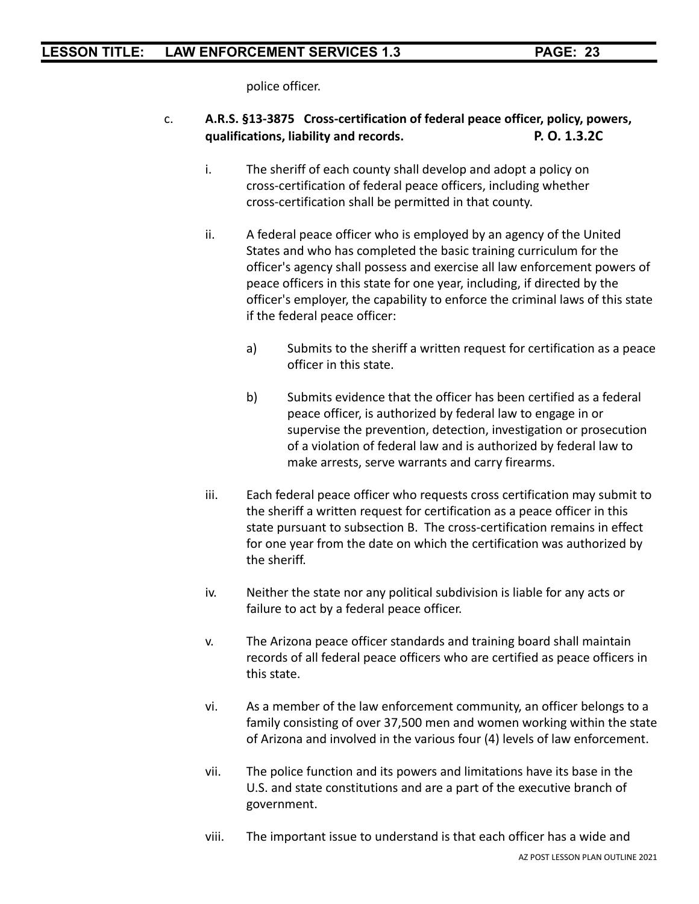police officer.

- c. **A.R.S. §13-3875 Cross-certification of federal peace officer, policy, powers, qualifications, liability and records. P. O. 1.3.2C**
	- i. The sheriff of each county shall develop and adopt a policy on cross-certification of federal peace officers, including whether cross-certification shall be permitted in that county.
	- ii. A federal peace officer who is employed by an agency of the United States and who has completed the basic training curriculum for the officer's agency shall possess and exercise all law enforcement powers of peace officers in this state for one year, including, if directed by the officer's employer, the capability to enforce the criminal laws of this state if the federal peace officer:
		- a) Submits to the sheriff a written request for certification as a peace officer in this state.
		- b) Submits evidence that the officer has been certified as a federal peace officer, is authorized by federal law to engage in or supervise the prevention, detection, investigation or prosecution of a violation of federal law and is authorized by federal law to make arrests, serve warrants and carry firearms.
	- iii. Each federal peace officer who requests cross certification may submit to the sheriff a written request for certification as a peace officer in this state pursuant to subsection B. The cross-certification remains in effect for one year from the date on which the certification was authorized by the sheriff.
	- iv. Neither the state nor any political subdivision is liable for any acts or failure to act by a federal peace officer.
	- v. The Arizona peace officer standards and training board shall maintain records of all federal peace officers who are certified as peace officers in this state.
	- vi. As a member of the law enforcement community, an officer belongs to a family consisting of over 37,500 men and women working within the state of Arizona and involved in the various four (4) levels of law enforcement.
	- vii. The police function and its powers and limitations have its base in the U.S. and state constitutions and are a part of the executive branch of government.
	- viii. The important issue to understand is that each officer has a wide and